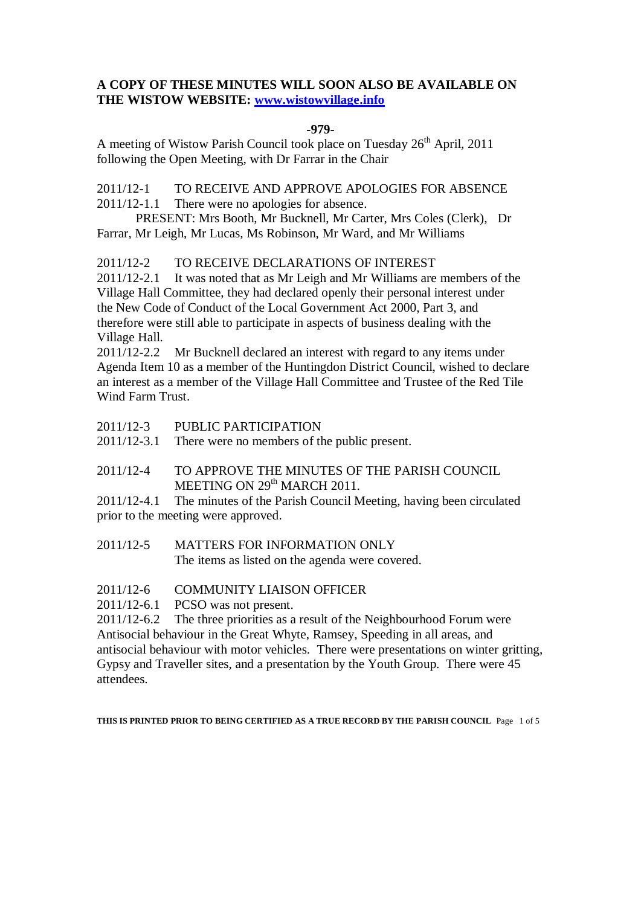## **A COPY OF THESE MINUTES WILL SOON ALSO BE AVAILABLE ON THE WISTOW WEBSITE: [www.wistowvillage.info](http://www.wistowvillage.info/)**

#### **-979-**

A meeting of Wistow Parish Council took place on Tuesday 26<sup>th</sup> April, 2011 following the Open Meeting, with Dr Farrar in the Chair

2011/12-1 TO RECEIVE AND APPROVE APOLOGIES FOR ABSENCE 2011/12-1.1 There were no apologies for absence.

PRESENT: Mrs Booth, Mr Bucknell, Mr Carter, Mrs Coles (Clerk), Dr Farrar, Mr Leigh, Mr Lucas, Ms Robinson, Mr Ward, and Mr Williams

2011/12-2 TO RECEIVE DECLARATIONS OF INTEREST

2011/12-2.1 It was noted that as Mr Leigh and Mr Williams are members of the Village Hall Committee, they had declared openly their personal interest under the New Code of Conduct of the Local Government Act 2000, Part 3, and therefore were still able to participate in aspects of business dealing with the Village Hall.

2011/12-2.2 Mr Bucknell declared an interest with regard to any items under Agenda Item 10 as a member of the Huntingdon District Council, wished to declare an interest as a member of the Village Hall Committee and Trustee of the Red Tile Wind Farm Trust.

2011/12-3 PUBLIC PARTICIPATION

2011/12-3.1 There were no members of the public present.

## 2011/12-4 TO APPROVE THE MINUTES OF THE PARISH COUNCIL MEETING ON 29<sup>th</sup> MARCH 2011.

2011/12-4.1 The minutes of the Parish Council Meeting, having been circulated prior to the meeting were approved.

- 2011/12-5 MATTERS FOR INFORMATION ONLY The items as listed on the agenda were covered.
- 2011/12-6 COMMUNITY LIAISON OFFICER
- 2011/12-6.1 PCSO was not present.

2011/12-6.2 The three priorities as a result of the Neighbourhood Forum were Antisocial behaviour in the Great Whyte, Ramsey, Speeding in all areas, and antisocial behaviour with motor vehicles. There were presentations on winter gritting, Gypsy and Traveller sites, and a presentation by the Youth Group. There were 45 attendees.

**THIS IS PRINTED PRIOR TO BEING CERTIFIED AS A TRUE RECORD BY THE PARISH COUNCIL** Page 1 of 5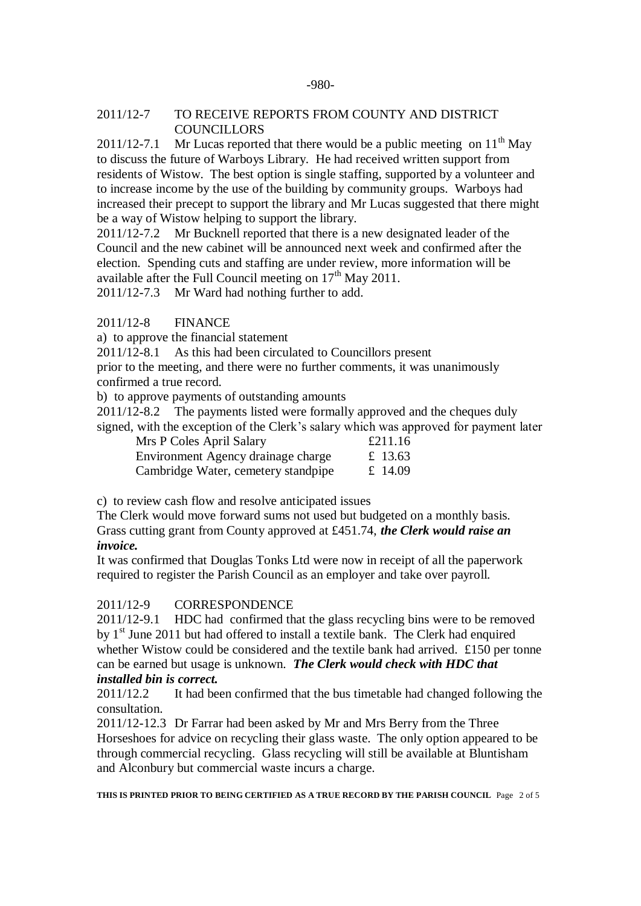#### 2011/12-7 TO RECEIVE REPORTS FROM COUNTY AND DISTRICT **COUNCILLORS**

2011/12-7.1 Mr Lucas reported that there would be a public meeting on  $11<sup>th</sup>$  May to discuss the future of Warboys Library. He had received written support from residents of Wistow. The best option is single staffing, supported by a volunteer and to increase income by the use of the building by community groups. Warboys had increased their precept to support the library and Mr Lucas suggested that there might be a way of Wistow helping to support the library.

2011/12-7.2 Mr Bucknell reported that there is a new designated leader of the Council and the new cabinet will be announced next week and confirmed after the election. Spending cuts and staffing are under review, more information will be available after the Full Council meeting on  $17<sup>th</sup>$  May 2011.

2011/12-7.3 Mr Ward had nothing further to add.

## 2011/12-8 FINANCE

a) to approve the financial statement

2011/12-8.1 As this had been circulated to Councillors present

prior to the meeting, and there were no further comments, it was unanimously confirmed a true record.

b) to approve payments of outstanding amounts

2011/12-8.2 The payments listed were formally approved and the cheques duly

signed, with the exception of the Clerk's salary which was approved for payment later  $M_{\text{re}}$  D  $C_{\text{else}}$   $\Lambda$  pril Salar

| <b>NITS P COIES APTIL SAIRTY</b>    | $L\angle 11.10$ |
|-------------------------------------|-----------------|
| Environment Agency drainage charge  | £ 13.63         |
| Cambridge Water, cemetery standpipe | £ 14.09         |

c) to review cash flow and resolve anticipated issues

The Clerk would move forward sums not used but budgeted on a monthly basis. Grass cutting grant from County approved at £451.74, *the Clerk would raise an invoice.*

It was confirmed that Douglas Tonks Ltd were now in receipt of all the paperwork required to register the Parish Council as an employer and take over payroll.

## 2011/12-9 CORRESPONDENCE

2011/12-9.1 HDC had confirmed that the glass recycling bins were to be removed by  $1<sup>st</sup>$  June 2011 but had offered to install a textile bank. The Clerk had enquired whether Wistow could be considered and the textile bank had arrived. £150 per tonne can be earned but usage is unknown. *The Clerk would check with HDC that installed bin is correct.* 

2011/12.2 It had been confirmed that the bus timetable had changed following the consultation.

2011/12-12.3 Dr Farrar had been asked by Mr and Mrs Berry from the Three Horseshoes for advice on recycling their glass waste. The only option appeared to be through commercial recycling. Glass recycling will still be available at Bluntisham and Alconbury but commercial waste incurs a charge.

**THIS IS PRINTED PRIOR TO BEING CERTIFIED AS A TRUE RECORD BY THE PARISH COUNCIL** Page 2 of 5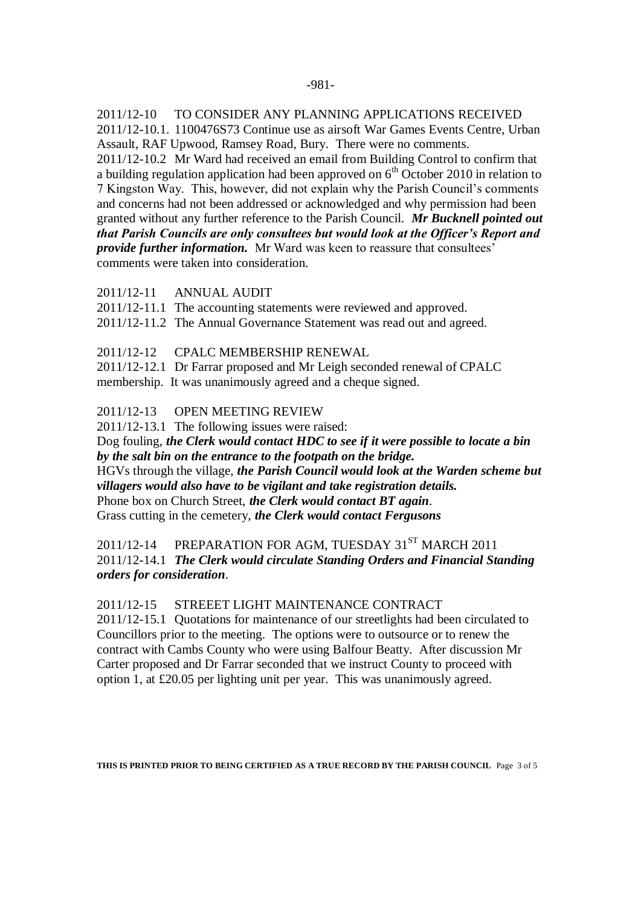2011/12-10 TO CONSIDER ANY PLANNING APPLICATIONS RECEIVED 2011/12-10.1. 1100476S73 Continue use as airsoft War Games Events Centre, Urban Assault, RAF Upwood, Ramsey Road, Bury. There were no comments. 2011/12-10.2 Mr Ward had received an email from Building Control to confirm that a building regulation application had been approved on  $6<sup>th</sup>$  October 2010 in relation to 7 Kingston Way. This, however, did not explain why the Parish Council's comments and concerns had not been addressed or acknowledged and why permission had been granted without any further reference to the Parish Council. *Mr Bucknell pointed out that Parish Councils are only consultees but would look at the Officer's Report and provide further information.* Mr Ward was keen to reassure that consultees' comments were taken into consideration.

2011/12-11 ANNUAL AUDIT

2011/12-11.1 The accounting statements were reviewed and approved.

2011/12-11.2 The Annual Governance Statement was read out and agreed.

#### 2011/12-12 CPALC MEMBERSHIP RENEWAL

2011/12-12.1 Dr Farrar proposed and Mr Leigh seconded renewal of CPALC membership. It was unanimously agreed and a cheque signed.

#### 2011/12-13 OPEN MEETING REVIEW

2011/12-13.1 The following issues were raised: Dog fouling, *the Clerk would contact HDC to see if it were possible to locate a bin by the salt bin on the entrance to the footpath on the bridge.* HGVs through the village, *the Parish Council would look at the Warden scheme but villagers would also have to be vigilant and take registration details.* Phone box on Church Street, *the Clerk would contact BT again*. Grass cutting in the cemetery, *the Clerk would contact Fergusons*

2011/12-14 PREPARATION FOR AGM, TUESDAY 31<sup>ST</sup> MARCH 2011 2011/12-14.1 *The Clerk would circulate Standing Orders and Financial Standing orders for consideration*.

#### 2011/12-15 STREEET LIGHT MAINTENANCE CONTRACT

2011/12-15.1 Quotations for maintenance of our streetlights had been circulated to Councillors prior to the meeting. The options were to outsource or to renew the contract with Cambs County who were using Balfour Beatty. After discussion Mr Carter proposed and Dr Farrar seconded that we instruct County to proceed with option 1, at £20.05 per lighting unit per year. This was unanimously agreed.

**THIS IS PRINTED PRIOR TO BEING CERTIFIED AS A TRUE RECORD BY THE PARISH COUNCIL** Page 3 of 5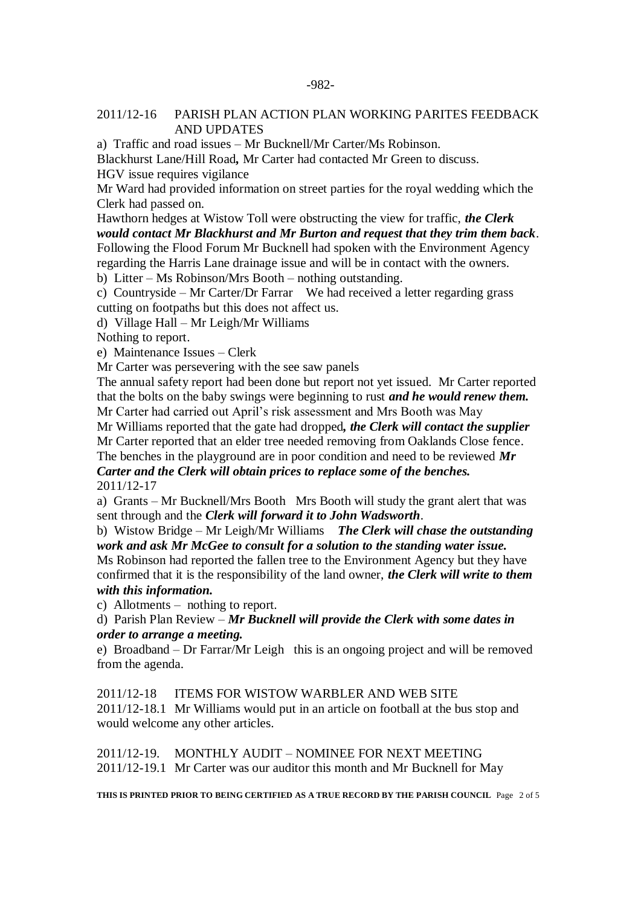#### 2011/12-16 PARISH PLAN ACTION PLAN WORKING PARITES FEEDBACK AND UPDATES

a) Traffic and road issues – Mr Bucknell/Mr Carter/Ms Robinson.

Blackhurst Lane/Hill Road*,* Mr Carter had contacted Mr Green to discuss.

HGV issue requires vigilance

Mr Ward had provided information on street parties for the royal wedding which the Clerk had passed on.

Hawthorn hedges at Wistow Toll were obstructing the view for traffic, *the Clerk would contact Mr Blackhurst and Mr Burton and request that they trim them back*. Following the Flood Forum Mr Bucknell had spoken with the Environment Agency regarding the Harris Lane drainage issue and will be in contact with the owners.

b) Litter – Ms Robinson/Mrs Booth – nothing outstanding.

c) Countryside – Mr Carter/Dr Farrar We had received a letter regarding grass cutting on footpaths but this does not affect us.

d) Village Hall – Mr Leigh/Mr Williams

Nothing to report.

e) Maintenance Issues – Clerk

Mr Carter was persevering with the see saw panels

The annual safety report had been done but report not yet issued. Mr Carter reported that the bolts on the baby swings were beginning to rust *and he would renew them.* Mr Carter had carried out April's risk assessment and Mrs Booth was May

Mr Williams reported that the gate had dropped*, the Clerk will contact the supplier*

Mr Carter reported that an elder tree needed removing from Oaklands Close fence. The benches in the playground are in poor condition and need to be reviewed *Mr Carter and the Clerk will obtain prices to replace some of the benches.* 2011/12-17

a) Grants – Mr Bucknell/Mrs Booth Mrs Booth will study the grant alert that was sent through and the *Clerk will forward it to John Wadsworth*.

b) Wistow Bridge – Mr Leigh/Mr Williams *The Clerk will chase the outstanding work and ask Mr McGee to consult for a solution to the standing water issue.*

Ms Robinson had reported the fallen tree to the Environment Agency but they have confirmed that it is the responsibility of the land owner, *the Clerk will write to them with this information.*

c) Allotments – nothing to report.

d) Parish Plan Review – *Mr Bucknell will provide the Clerk with some dates in order to arrange a meeting.*

e) Broadband – Dr Farrar/Mr Leigh this is an ongoing project and will be removed from the agenda.

2011/12-18 ITEMS FOR WISTOW WARBLER AND WEB SITE 2011/12-18.1 Mr Williams would put in an article on football at the bus stop and would welcome any other articles.

2011/12-19. MONTHLY AUDIT – NOMINEE FOR NEXT MEETING 2011/12-19.1 Mr Carter was our auditor this month and Mr Bucknell for May

**THIS IS PRINTED PRIOR TO BEING CERTIFIED AS A TRUE RECORD BY THE PARISH COUNCIL** Page 2 of 5